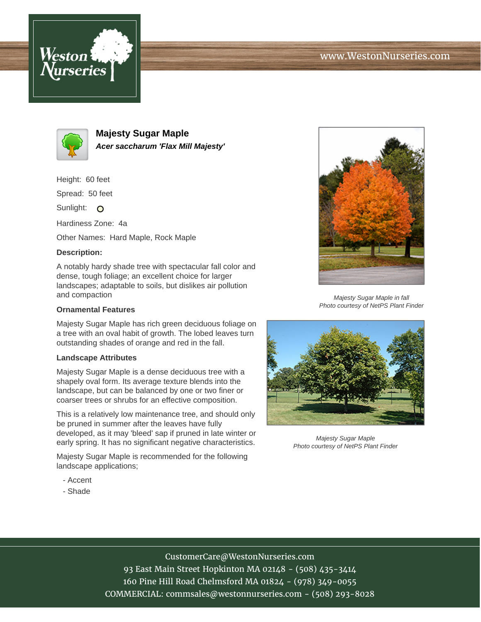



**Majesty Sugar Maple Acer saccharum 'Flax Mill Majesty'**

Height: 60 feet

Spread: 50 feet

Sunlight: O

Hardiness Zone: 4a

Other Names: Hard Maple, Rock Maple

## **Description:**

A notably hardy shade tree with spectacular fall color and dense, tough foliage; an excellent choice for larger landscapes; adaptable to soils, but dislikes air pollution and compaction

## **Ornamental Features**

Majesty Sugar Maple has rich green deciduous foliage on a tree with an oval habit of growth. The lobed leaves turn outstanding shades of orange and red in the fall.

## **Landscape Attributes**

Majesty Sugar Maple is a dense deciduous tree with a shapely oval form. Its average texture blends into the landscape, but can be balanced by one or two finer or coarser trees or shrubs for an effective composition.

This is a relatively low maintenance tree, and should only be pruned in summer after the leaves have fully developed, as it may 'bleed' sap if pruned in late winter or early spring. It has no significant negative characteristics.

Majesty Sugar Maple is recommended for the following landscape applications;

- Accent
- Shade



Majesty Sugar Maple in fall Photo courtesy of NetPS Plant Finder



Majesty Sugar Maple Photo courtesy of NetPS Plant Finder

CustomerCare@WestonNurseries.com 93 East Main Street Hopkinton MA 02148 - (508) 435-3414 160 Pine Hill Road Chelmsford MA 01824 - (978) 349-0055 COMMERCIAL: commsales@westonnurseries.com - (508) 293-8028